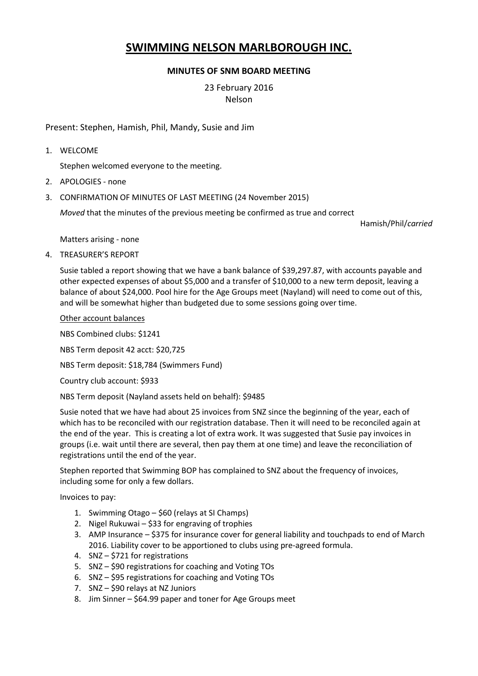# **SWIMMING NELSON MARLBOROUGH INC.**

# **MINUTES OF SNM BOARD MEETING**

23 February 2016 Nelson

Present: Stephen, Hamish, Phil, Mandy, Susie and Jim

1. WELCOME

Stephen welcomed everyone to the meeting.

- 2. APOLOGIES none
- 3. CONFIRMATION OF MINUTES OF LAST MEETING (24 November 2015)

*Moved* that the minutes of the previous meeting be confirmed as true and correct

Hamish/Phil/*carried*

Matters arising - none

4. TREASURER'S REPORT

Susie tabled a report showing that we have a bank balance of \$39,297.87, with accounts payable and other expected expenses of about \$5,000 and a transfer of \$10,000 to a new term deposit, leaving a balance of about \$24,000. Pool hire for the Age Groups meet (Nayland) will need to come out of this, and will be somewhat higher than budgeted due to some sessions going over time.

Other account balances

NBS Combined clubs: \$1241

NBS Term deposit 42 acct: \$20,725

NBS Term deposit: \$18,784 (Swimmers Fund)

Country club account: \$933

NBS Term deposit (Nayland assets held on behalf): \$9485

Susie noted that we have had about 25 invoices from SNZ since the beginning of the year, each of which has to be reconciled with our registration database. Then it will need to be reconciled again at the end of the year. This is creating a lot of extra work. It was suggested that Susie pay invoices in groups (i.e. wait until there are several, then pay them at one time) and leave the reconciliation of registrations until the end of the year.

Stephen reported that Swimming BOP has complained to SNZ about the frequency of invoices, including some for only a few dollars.

Invoices to pay:

- 1. Swimming Otago \$60 (relays at SI Champs)
- 2. Nigel Rukuwai \$33 for engraving of trophies
- 3. AMP Insurance \$375 for insurance cover for general liability and touchpads to end of March 2016. Liability cover to be apportioned to clubs using pre-agreed formula.
- 4. SNZ \$721 for registrations
- 5. SNZ \$90 registrations for coaching and Voting TOs
- 6. SNZ \$95 registrations for coaching and Voting TOs
- 7. SNZ \$90 relays at NZ Juniors
- 8. Jim Sinner \$64.99 paper and toner for Age Groups meet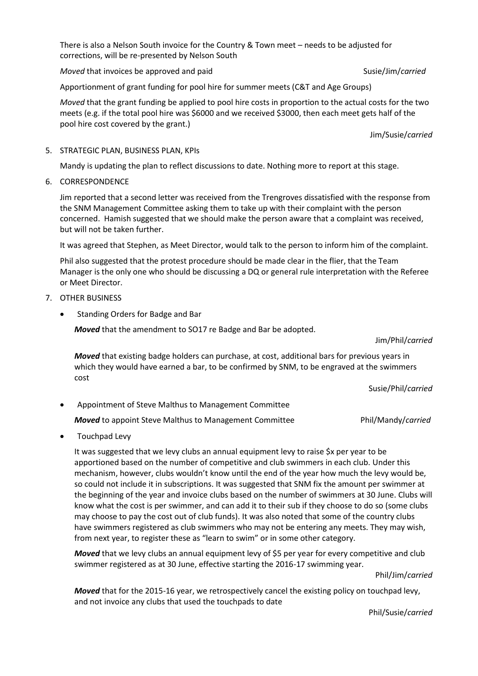There is also a Nelson South invoice for the Country & Town meet – needs to be adjusted for corrections, will be re-presented by Nelson South

*Moved* that invoices be approved and paid Susie/Jim/*carried* Susie/Jim/*carried* 

Apportionment of grant funding for pool hire for summer meets (C&T and Age Groups)

*Moved* that the grant funding be applied to pool hire costs in proportion to the actual costs for the two meets (e.g. if the total pool hire was \$6000 and we received \$3000, then each meet gets half of the pool hire cost covered by the grant.)

Jim/Susie/*carried*

## 5. STRATEGIC PLAN, BUSINESS PLAN, KPIs

Mandy is updating the plan to reflect discussions to date. Nothing more to report at this stage.

6. CORRESPONDENCE

Jim reported that a second letter was received from the Trengroves dissatisfied with the response from the SNM Management Committee asking them to take up with their complaint with the person concerned. Hamish suggested that we should make the person aware that a complaint was received, but will not be taken further.

It was agreed that Stephen, as Meet Director, would talk to the person to inform him of the complaint.

Phil also suggested that the protest procedure should be made clear in the flier, that the Team Manager is the only one who should be discussing a DQ or general rule interpretation with the Referee or Meet Director.

- 7. OTHER BUSINESS
	- Standing Orders for Badge and Bar

*Moved* that the amendment to SO17 re Badge and Bar be adopted.

### Jim/Phil/*carried*

*Moved* that existing badge holders can purchase, at cost, additional bars for previous years in which they would have earned a bar, to be confirmed by SNM, to be engraved at the swimmers cost

Susie/Phil/*carried*

- Appointment of Steve Malthus to Management Committee *Moved* to appoint Steve Malthus to Management Committee Phil/Mandy/carried
- Touchpad Levy

It was suggested that we levy clubs an annual equipment levy to raise \$x per year to be apportioned based on the number of competitive and club swimmers in each club. Under this mechanism, however, clubs wouldn't know until the end of the year how much the levy would be, so could not include it in subscriptions. It was suggested that SNM fix the amount per swimmer at the beginning of the year and invoice clubs based on the number of swimmers at 30 June. Clubs will know what the cost is per swimmer, and can add it to their sub if they choose to do so (some clubs may choose to pay the cost out of club funds). It was also noted that some of the country clubs have swimmers registered as club swimmers who may not be entering any meets. They may wish, from next year, to register these as "learn to swim" or in some other category.

*Moved* that we levy clubs an annual equipment levy of \$5 per year for every competitive and club swimmer registered as at 30 June, effective starting the 2016-17 swimming year.

Phil/Jim/*carried*

*Moved* that for the 2015-16 year, we retrospectively cancel the existing policy on touchpad levy, and not invoice any clubs that used the touchpads to date

Phil/Susie/*carried*